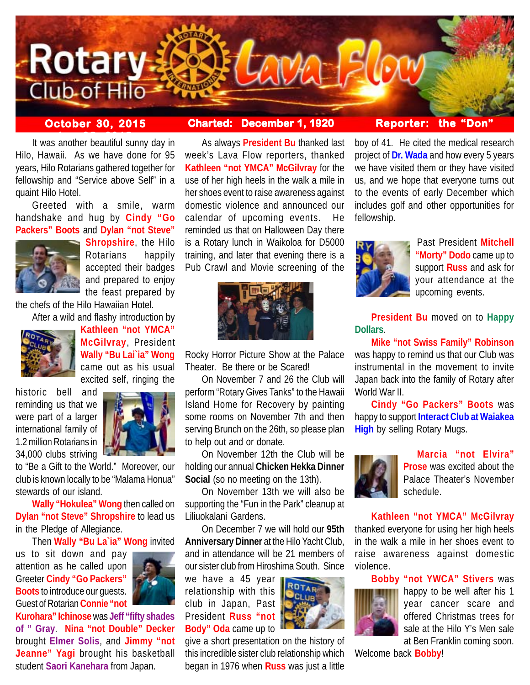

# **October 30, 2015 Charted: December 1, 1920 Reporter: the "Don"**

It was another beautiful sunny day in Hilo, Hawaii. As we have done for 95 years, Hilo Rotarians gathered together for fellowship and "Service above Self" in a quaint Hilo Hotel.

Greeted with a smile, warm handshake and hug by **Cindy "Go Packers" Boots** and **Dylan "not Steve"**



**Shropshire**, the Hilo Rotarians happily accepted their badges and prepared to enjoy the feast prepared by

the chefs of the Hilo Hawaiian Hotel.

After a wild and flashy introduction by



**Kathleen "not YMCA" McGilvray**, President **Wally "Bu Lai`ia" Wong** came out as his usual excited self, ringing the

historic bell and reminding us that we were part of a larger international family of 1.2 million Rotarians in 34,000 clubs striving



to "Be a Gift to the World." Moreover, our club is known locally to be "Malama Honua" stewards of our island.

**Wally "Hokulea" Wong** then called on **Dylan "not Steve" Shropshire** to lead us in the Pledge of Allegiance.

Then **Wally "Bu La`ia" Wong** invited

us to sit down and pay attention as he called upon Greeter **Cindy "Go Packers" Boots** to introduce our guests. Guest of Rotarian **Connie "not**



**Kurohara" Ichinose** was **Jeff "fifty shades of " Gray**. **Nina "not Double" Decker** brought **Elmer Solis**, and **Jimmy "not Jeanne" Yagi** brought his basketball student **Saori Kanehara** from Japan.

As always **President Bu** thanked last week's Lava Flow reporters, thanked **Kathleen "not YMCA" McGilvray** for the use of her high heels in the walk a mile in her shoes event to raise awareness against domestic violence and announced our calendar of upcoming events. He reminded us that on Halloween Day there is a Rotary lunch in Waikoloa for D5000 training, and later that evening there is a Pub Crawl and Movie screening of the



Rocky Horror Picture Show at the Palace Theater. Be there or be Scared!

On November 7 and 26 the Club will perform "Rotary Gives Tanks" to the Hawaii Island Home for Recovery by painting some rooms on November 7th and then serving Brunch on the 26th, so please plan to help out and or donate.

On November 12th the Club will be holding our annual **Chicken Hekka Dinner Social** (so no meeting on the 13th).

On November 13th we will also be supporting the "Fun in the Park" cleanup at Liliuokalani Gardens.

On December 7 we will hold our **95th Anniversary Dinner** at the Hilo Yacht Club, and in attendance will be 21 members of our sister club from Hiroshima South. Since

we have a 45 year relationship with this club in Japan, Past President **Russ "not Body" Oda** came up to



give a short presentation on the history of this incredible sister club relationship which began in 1976 when **Russ** was just a little

boy of 41. He cited the medical research project of **Dr. Wada** and how every 5 years we have visited them or they have visited us, and we hope that everyone turns out to the events of early December which includes golf and other opportunities for



fellowship.

Past President **Mitchell "Morty" Dodo** came up to support **Russ** and ask for your attendance at the upcoming events.

**President Bu** moved on to **Happy Dollars**.

**Mike "not Swiss Family" Robinson** was happy to remind us that our Club was instrumental in the movement to invite Japan back into the family of Rotary after World War II.

**Cindy "Go Packers" Boots** was happy to support **Interact Club at Waiakea High** by selling Rotary Mugs.



**Marcia "not Elvira" Prose** was excited about the Palace Theater's November schedule.

**Kathleen "not YMCA" McGilvray**

thanked everyone for using her high heels in the walk a mile in her shoes event to raise awareness against domestic violence.

**Bobby "not YWCA" Stivers** was



happy to be well after his 1 year cancer scare and offered Christmas trees for sale at the Hilo Y's Men sale at Ben Franklin coming soon.

Welcome back **Bobby**!